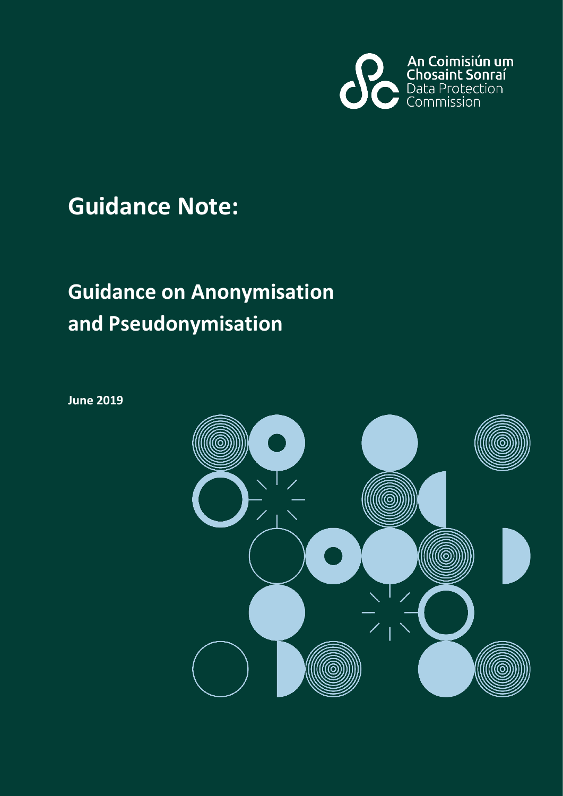

## **Guidance Note:**

# **Guidance on Anonymisation and Pseudonymisation**

**June 2019**

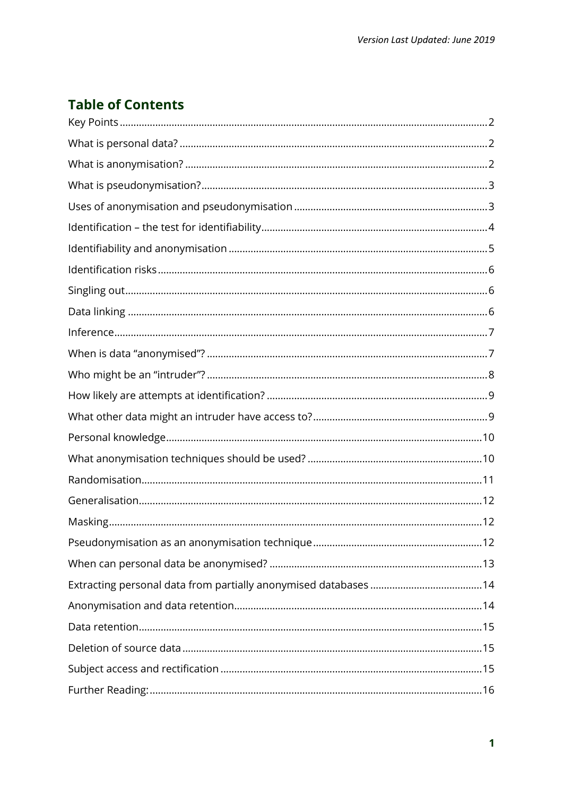### **Table of Contents**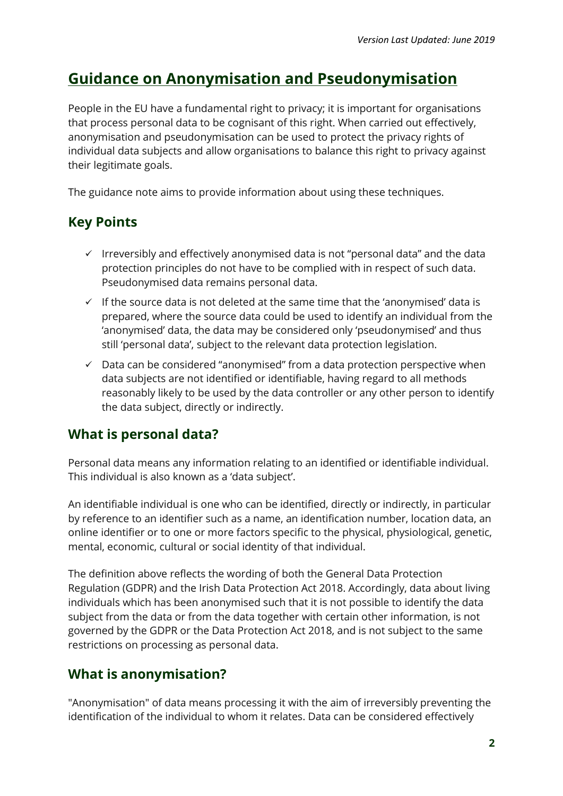### **Guidance on Anonymisation and Pseudonymisation**

People in the EU have a fundamental right to privacy; it is important for organisations that process personal data to be cognisant of this right. When carried out effectively, anonymisation and pseudonymisation can be used to protect the privacy rights of individual data subjects and allow organisations to balance this right to privacy against their legitimate goals.

The guidance note aims to provide information about using these techniques.

#### <span id="page-2-0"></span>**Key Points**

- $\checkmark$  Irreversibly and effectively anonymised data is not "personal data" and the data protection principles do not have to be complied with in respect of such data. Pseudonymised data remains personal data.
- $\checkmark$  If the source data is not deleted at the same time that the 'anonymised' data is prepared, where the source data could be used to identify an individual from the 'anonymised' data, the data may be considered only 'pseudonymised' and thus still 'personal data', subject to the relevant data protection legislation.
- $\checkmark$  Data can be considered "anonymised" from a data protection perspective when data subjects are not identified or identifiable, having regard to all methods reasonably likely to be used by the data controller or any other person to identify the data subject, directly or indirectly.

#### <span id="page-2-1"></span>**What is personal data?**

Personal data means any information relating to an identified or identifiable individual. This individual is also known as a 'data subject'.

An identifiable individual is one who can be identified, directly or indirectly, in particular by reference to an identifier such as a name, an identification number, location data, an online identifier or to one or more factors specific to the physical, physiological, genetic, mental, economic, cultural or social identity of that individual.

The definition above reflects the wording of both the General Data Protection Regulation (GDPR) and the Irish Data Protection Act 2018. Accordingly, data about living individuals which has been anonymised such that it is not possible to identify the data subject from the data or from the data together with certain other information, is not governed by the GDPR or the Data Protection Act 2018, and is not subject to the same restrictions on processing as personal data.

#### <span id="page-2-2"></span>**What is anonymisation?**

"Anonymisation" of data means processing it with the aim of irreversibly preventing the identification of the individual to whom it relates. Data can be considered effectively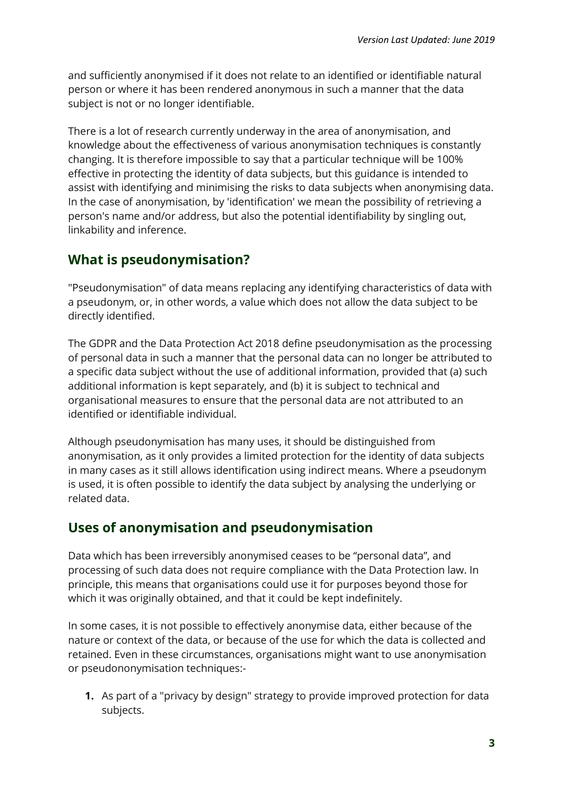and sufficiently anonymised if it does not relate to an identified or identifiable natural person or where it has been rendered anonymous in such a manner that the data subject is not or no longer identifiable.

There is a lot of research currently underway in the area of anonymisation, and knowledge about the effectiveness of various anonymisation techniques is constantly changing. It is therefore impossible to say that a particular technique will be 100% effective in protecting the identity of data subjects, but this guidance is intended to assist with identifying and minimising the risks to data subjects when anonymising data. In the case of anonymisation, by 'identification' we mean the possibility of retrieving a person's name and/or address, but also the potential identifiability by singling out, linkability and inference.

#### <span id="page-3-0"></span>**What is pseudonymisation?**

"Pseudonymisation" of data means replacing any identifying characteristics of data with a pseudonym, or, in other words, a value which does not allow the data subject to be directly identified.

The GDPR and the Data Protection Act 2018 define pseudonymisation as the processing of personal data in such a manner that the personal data can no longer be attributed to a specific data subject without the use of additional information, provided that (a) such additional information is kept separately, and (b) it is subject to technical and organisational measures to ensure that the personal data are not attributed to an identified or identifiable individual.

Although pseudonymisation has many uses, it should be distinguished from anonymisation, as it only provides a limited protection for the identity of data subjects in many cases as it still allows identification using indirect means. Where a pseudonym is used, it is often possible to identify the data subject by analysing the underlying or related data.

#### <span id="page-3-1"></span>**Uses of anonymisation and pseudonymisation**

Data which has been irreversibly anonymised ceases to be "personal data", and processing of such data does not require compliance with the Data Protection law. In principle, this means that organisations could use it for purposes beyond those for which it was originally obtained, and that it could be kept indefinitely.

In some cases, it is not possible to effectively anonymise data, either because of the nature or context of the data, or because of the use for which the data is collected and retained. Even in these circumstances, organisations might want to use anonymisation or pseudononymisation techniques:-

**1.** As part of a "privacy by design" strategy to provide improved protection for data subjects.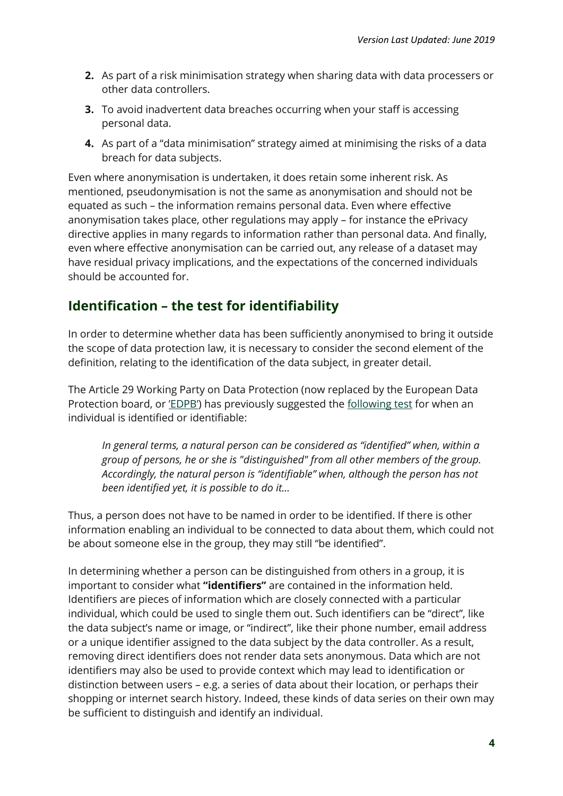- **2.** As part of a risk minimisation strategy when sharing data with data processers or other data controllers.
- **3.** To avoid inadvertent data breaches occurring when your staff is accessing personal data.
- **4.** As part of a "data minimisation" strategy aimed at minimising the risks of a data breach for data subjects.

Even where anonymisation is undertaken, it does retain some inherent risk. As mentioned, pseudonymisation is not the same as anonymisation and should not be equated as such – the information remains personal data. Even where effective anonymisation takes place, other regulations may apply – for instance the ePrivacy directive applies in many regards to information rather than personal data. And finally, even where effective anonymisation can be carried out, any release of a dataset may have residual privacy implications, and the expectations of the concerned individuals should be accounted for.

#### <span id="page-4-0"></span>**Identification – the test for identifiability**

In order to determine whether data has been sufficiently anonymised to bring it outside the scope of data protection law, it is necessary to consider the second element of the definition, relating to the identification of the data subject, in greater detail.

The Article 29 Working Party on Data Protection (now replaced by the European Data Protection board, or ['EDPB'](https://edpb.europa.eu/)) has previously suggested the [following test](https://ec.europa.eu/justice/article-29/documentation/opinion-recommendation/files/2007/wp136_en.pdf) for when an individual is identified or identifiable:

*In general terms, a natural person can be considered as "identified" when, within a group of persons, he or she is "distinguished" from all other members of the group. Accordingly, the natural person is "identifiable" when, although the person has not been identified yet, it is possible to do it…*

Thus, a person does not have to be named in order to be identified. If there is other information enabling an individual to be connected to data about them, which could not be about someone else in the group, they may still "be identified".

In determining whether a person can be distinguished from others in a group, it is important to consider what **"identifiers"** are contained in the information held. Identifiers are pieces of information which are closely connected with a particular individual, which could be used to single them out. Such identifiers can be "direct", like the data subject's name or image, or "indirect", like their phone number, email address or a unique identifier assigned to the data subject by the data controller. As a result, removing direct identifiers does not render data sets anonymous. Data which are not identifiers may also be used to provide context which may lead to identification or distinction between users – e.g. a series of data about their location, or perhaps their shopping or internet search history. Indeed, these kinds of data series on their own may be sufficient to distinguish and identify an individual.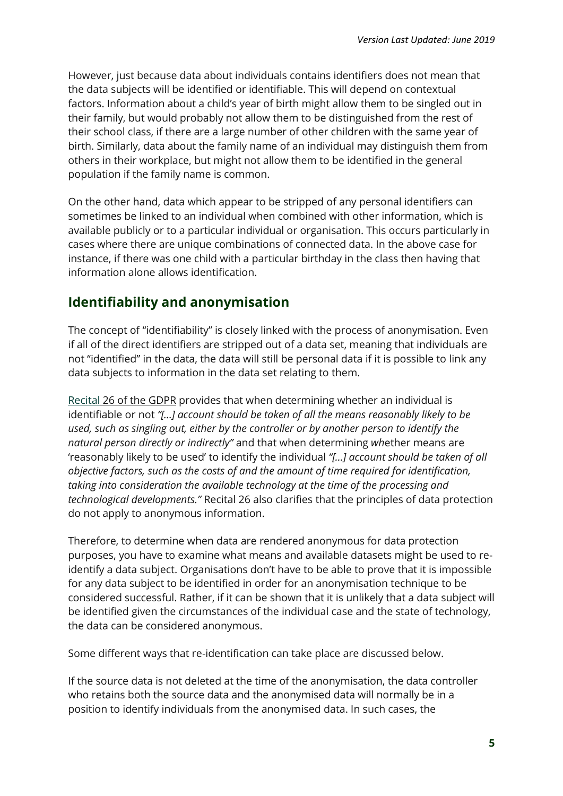However, just because data about individuals contains identifiers does not mean that the data subjects will be identified or identifiable. This will depend on contextual factors. Information about a child's year of birth might allow them to be singled out in their family, but would probably not allow them to be distinguished from the rest of their school class, if there are a large number of other children with the same year of birth. Similarly, data about the family name of an individual may distinguish them from others in their workplace, but might not allow them to be identified in the general population if the family name is common.

On the other hand, data which appear to be stripped of any personal identifiers can sometimes be linked to an individual when combined with other information, which is available publicly or to a particular individual or organisation. This occurs particularly in cases where there are unique combinations of connected data. In the above case for instance, if there was one child with a particular birthday in the class then having that information alone allows identification.

#### <span id="page-5-0"></span>**Identifiability and anonymisation**

The concept of "identifiability" is closely linked with the process of anonymisation. Even if all of the direct identifiers are stripped out of a data set, meaning that individuals are not "identified" in the data, the data will still be personal data if it is possible to link any data subjects to information in the data set relating to them.

[Recital](https://www.dataprotection.ie/docs/EU-Directive-95-46-EC-The-Recitals-Page-1/90.htm) 26 of the GDPR provides that when determining whether an individual is identifiable or not *"[…] account should be taken of all the means reasonably likely to be used, such as singling out, either by the controller or by another person to identify the natural person directly or indirectly"* and that when determining *wh*ether means are 'reasonably likely to be used' to identify the individual *"[…] account should be taken of all objective factors, such as the costs of and the amount of time required for identification, taking into consideration the available technology at the time of the processing and technological developments."* Recital 26 also clarifies that the principles of data protection do not apply to anonymous information.

Therefore, to determine when data are rendered anonymous for data protection purposes, you have to examine what means and available datasets might be used to reidentify a data subject. Organisations don't have to be able to prove that it is impossible for any data subject to be identified in order for an anonymisation technique to be considered successful. Rather, if it can be shown that it is unlikely that a data subject will be identified given the circumstances of the individual case and the state of technology, the data can be considered anonymous.

Some different ways that re-identification can take place are discussed below.

If the source data is not deleted at the time of the anonymisation, the data controller who retains both the source data and the anonymised data will normally be in a position to identify individuals from the anonymised data. In such cases, the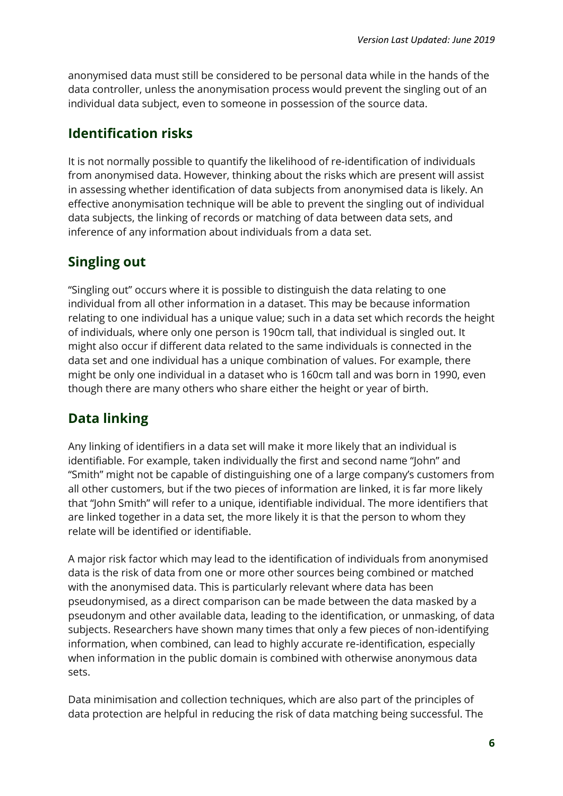anonymised data must still be considered to be personal data while in the hands of the data controller, unless the anonymisation process would prevent the singling out of an individual data subject, even to someone in possession of the source data.

#### <span id="page-6-0"></span>**Identification risks**

It is not normally possible to quantify the likelihood of re-identification of individuals from anonymised data. However, thinking about the risks which are present will assist in assessing whether identification of data subjects from anonymised data is likely. An effective anonymisation technique will be able to prevent the singling out of individual data subjects, the linking of records or matching of data between data sets, and inference of any information about individuals from a data set.

#### <span id="page-6-1"></span>**Singling out**

"Singling out" occurs where it is possible to distinguish the data relating to one individual from all other information in a dataset. This may be because information relating to one individual has a unique value; such in a data set which records the height of individuals, where only one person is 190cm tall, that individual is singled out. It might also occur if different data related to the same individuals is connected in the data set and one individual has a unique combination of values. For example, there might be only one individual in a dataset who is 160cm tall and was born in 1990, even though there are many others who share either the height or year of birth.

#### <span id="page-6-2"></span>**Data linking**

Any linking of identifiers in a data set will make it more likely that an individual is identifiable. For example, taken individually the first and second name "John" and "Smith" might not be capable of distinguishing one of a large company's customers from all other customers, but if the two pieces of information are linked, it is far more likely that "John Smith" will refer to a unique, identifiable individual. The more identifiers that are linked together in a data set, the more likely it is that the person to whom they relate will be identified or identifiable.

A major risk factor which may lead to the identification of individuals from anonymised data is the risk of data from one or more other sources being combined or matched with the anonymised data. This is particularly relevant where data has been pseudonymised, as a direct comparison can be made between the data masked by a pseudonym and other available data, leading to the identification, or unmasking, of data subjects. Researchers have shown many times that only a few pieces of non-identifying information, when combined, can lead to highly accurate re-identification, especially when information in the public domain is combined with otherwise anonymous data sets.

Data minimisation and collection techniques, which are also part of the principles of data protection are helpful in reducing the risk of data matching being successful. The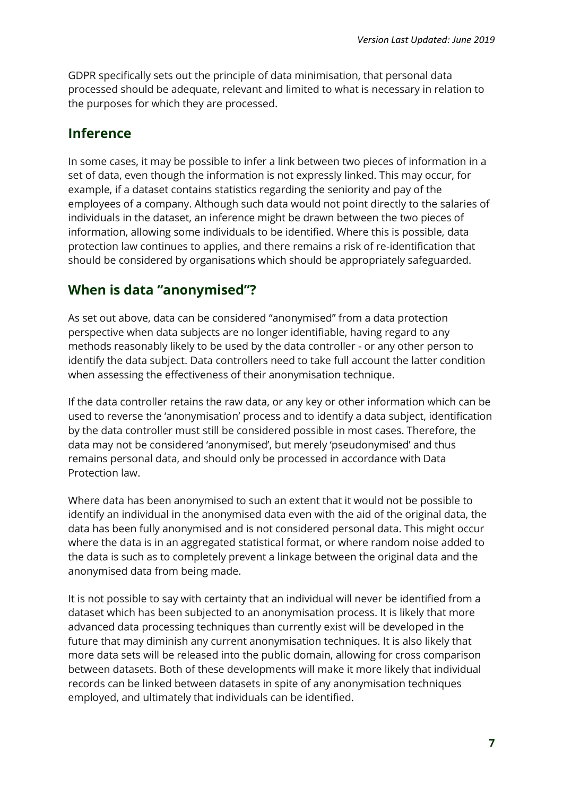GDPR specifically sets out the principle of data minimisation, that personal data processed should be adequate, relevant and limited to what is necessary in relation to the purposes for which they are processed.

#### <span id="page-7-0"></span>**Inference**

In some cases, it may be possible to infer a link between two pieces of information in a set of data, even though the information is not expressly linked. This may occur, for example, if a dataset contains statistics regarding the seniority and pay of the employees of a company. Although such data would not point directly to the salaries of individuals in the dataset, an inference might be drawn between the two pieces of information, allowing some individuals to be identified. Where this is possible, data protection law continues to applies, and there remains a risk of re-identification that should be considered by organisations which should be appropriately safeguarded.

#### <span id="page-7-1"></span>**When is data "anonymised"?**

As set out above, data can be considered "anonymised" from a data protection perspective when data subjects are no longer identifiable, having regard to any methods reasonably likely to be used by the data controller - or any other person to identify the data subject. Data controllers need to take full account the latter condition when assessing the effectiveness of their anonymisation technique.

If the data controller retains the raw data, or any key or other information which can be used to reverse the 'anonymisation' process and to identify a data subject, identification by the data controller must still be considered possible in most cases. Therefore, the data may not be considered 'anonymised', but merely 'pseudonymised' and thus remains personal data, and should only be processed in accordance with Data Protection law.

Where data has been anonymised to such an extent that it would not be possible to identify an individual in the anonymised data even with the aid of the original data, the data has been fully anonymised and is not considered personal data. This might occur where the data is in an aggregated statistical format, or where random noise added to the data is such as to completely prevent a linkage between the original data and the anonymised data from being made.

It is not possible to say with certainty that an individual will never be identified from a dataset which has been subjected to an anonymisation process. It is likely that more advanced data processing techniques than currently exist will be developed in the future that may diminish any current anonymisation techniques. It is also likely that more data sets will be released into the public domain, allowing for cross comparison between datasets. Both of these developments will make it more likely that individual records can be linked between datasets in spite of any anonymisation techniques employed, and ultimately that individuals can be identified.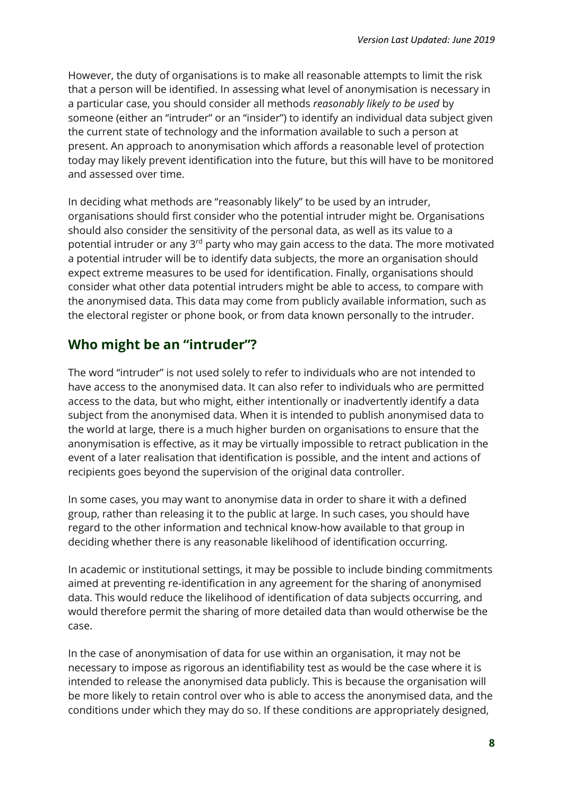However, the duty of organisations is to make all reasonable attempts to limit the risk that a person will be identified. In assessing what level of anonymisation is necessary in a particular case, you should consider all methods *reasonably likely to be used* by someone (either an "intruder" or an "insider") to identify an individual data subject given the current state of technology and the information available to such a person at present. An approach to anonymisation which affords a reasonable level of protection today may likely prevent identification into the future, but this will have to be monitored and assessed over time.

In deciding what methods are "reasonably likely" to be used by an intruder, organisations should first consider who the potential intruder might be. Organisations should also consider the sensitivity of the personal data, as well as its value to a potential intruder or any 3<sup>rd</sup> party who may gain access to the data. The more motivated a potential intruder will be to identify data subjects, the more an organisation should expect extreme measures to be used for identification. Finally, organisations should consider what other data potential intruders might be able to access, to compare with the anonymised data. This data may come from publicly available information, such as the electoral register or phone book, or from data known personally to the intruder.

#### <span id="page-8-0"></span>**Who might be an "intruder"?**

The word "intruder" is not used solely to refer to individuals who are not intended to have access to the anonymised data. It can also refer to individuals who are permitted access to the data, but who might, either intentionally or inadvertently identify a data subject from the anonymised data. When it is intended to publish anonymised data to the world at large, there is a much higher burden on organisations to ensure that the anonymisation is effective, as it may be virtually impossible to retract publication in the event of a later realisation that identification is possible, and the intent and actions of recipients goes beyond the supervision of the original data controller.

In some cases, you may want to anonymise data in order to share it with a defined group, rather than releasing it to the public at large. In such cases, you should have regard to the other information and technical know-how available to that group in deciding whether there is any reasonable likelihood of identification occurring.

In academic or institutional settings, it may be possible to include binding commitments aimed at preventing re-identification in any agreement for the sharing of anonymised data. This would reduce the likelihood of identification of data subjects occurring, and would therefore permit the sharing of more detailed data than would otherwise be the case.

In the case of anonymisation of data for use within an organisation, it may not be necessary to impose as rigorous an identifiability test as would be the case where it is intended to release the anonymised data publicly. This is because the organisation will be more likely to retain control over who is able to access the anonymised data, and the conditions under which they may do so. If these conditions are appropriately designed,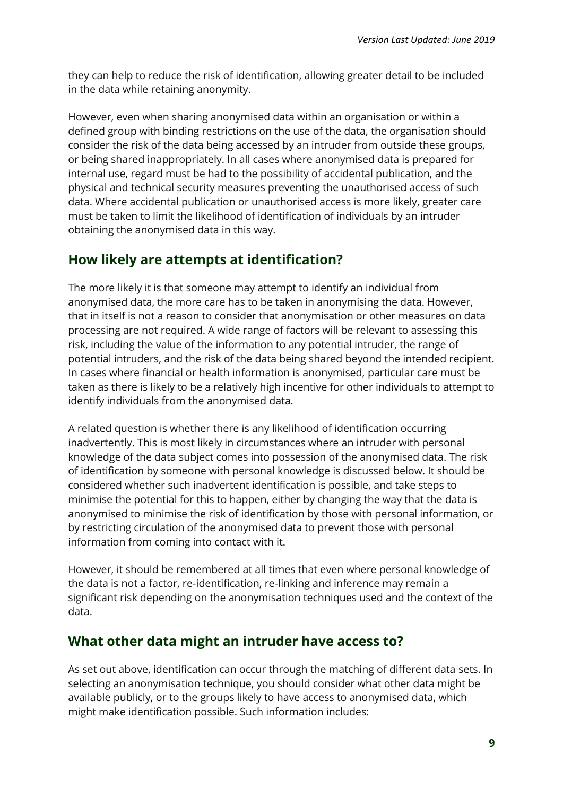they can help to reduce the risk of identification, allowing greater detail to be included in the data while retaining anonymity.

However, even when sharing anonymised data within an organisation or within a defined group with binding restrictions on the use of the data, the organisation should consider the risk of the data being accessed by an intruder from outside these groups, or being shared inappropriately. In all cases where anonymised data is prepared for internal use, regard must be had to the possibility of accidental publication, and the physical and technical security measures preventing the unauthorised access of such data. Where accidental publication or unauthorised access is more likely, greater care must be taken to limit the likelihood of identification of individuals by an intruder obtaining the anonymised data in this way.

#### <span id="page-9-0"></span>**How likely are attempts at identification?**

The more likely it is that someone may attempt to identify an individual from anonymised data, the more care has to be taken in anonymising the data. However, that in itself is not a reason to consider that anonymisation or other measures on data processing are not required. A wide range of factors will be relevant to assessing this risk, including the value of the information to any potential intruder, the range of potential intruders, and the risk of the data being shared beyond the intended recipient. In cases where financial or health information is anonymised, particular care must be taken as there is likely to be a relatively high incentive for other individuals to attempt to identify individuals from the anonymised data.

A related question is whether there is any likelihood of identification occurring inadvertently. This is most likely in circumstances where an intruder with personal knowledge of the data subject comes into possession of the anonymised data. The risk of identification by someone with personal knowledge is discussed below. It should be considered whether such inadvertent identification is possible, and take steps to minimise the potential for this to happen, either by changing the way that the data is anonymised to minimise the risk of identification by those with personal information, or by restricting circulation of the anonymised data to prevent those with personal information from coming into contact with it.

However, it should be remembered at all times that even where personal knowledge of the data is not a factor, re-identification, re-linking and inference may remain a significant risk depending on the anonymisation techniques used and the context of the data.

#### <span id="page-9-1"></span>**What other data might an intruder have access to?**

As set out above, identification can occur through the matching of different data sets. In selecting an anonymisation technique, you should consider what other data might be available publicly, or to the groups likely to have access to anonymised data, which might make identification possible. Such information includes: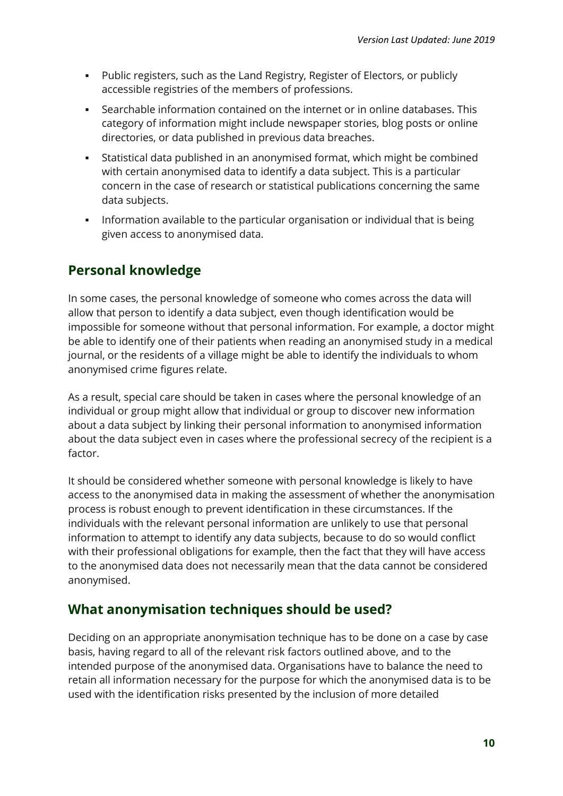- Public registers, such as the Land Registry, Register of Electors, or publicly accessible registries of the members of professions.
- Searchable information contained on the internet or in online databases. This category of information might include newspaper stories, blog posts or online directories, or data published in previous data breaches.
- Statistical data published in an anonymised format, which might be combined with certain anonymised data to identify a data subject. This is a particular concern in the case of research or statistical publications concerning the same data subjects.
- Information available to the particular organisation or individual that is being given access to anonymised data.

#### <span id="page-10-0"></span>**Personal knowledge**

In some cases, the personal knowledge of someone who comes across the data will allow that person to identify a data subject, even though identification would be impossible for someone without that personal information. For example, a doctor might be able to identify one of their patients when reading an anonymised study in a medical journal, or the residents of a village might be able to identify the individuals to whom anonymised crime figures relate.

As a result, special care should be taken in cases where the personal knowledge of an individual or group might allow that individual or group to discover new information about a data subject by linking their personal information to anonymised information about the data subject even in cases where the professional secrecy of the recipient is a factor.

It should be considered whether someone with personal knowledge is likely to have access to the anonymised data in making the assessment of whether the anonymisation process is robust enough to prevent identification in these circumstances. If the individuals with the relevant personal information are unlikely to use that personal information to attempt to identify any data subjects, because to do so would conflict with their professional obligations for example, then the fact that they will have access to the anonymised data does not necessarily mean that the data cannot be considered anonymised.

#### <span id="page-10-1"></span>**What anonymisation techniques should be used?**

Deciding on an appropriate anonymisation technique has to be done on a case by case basis, having regard to all of the relevant risk factors outlined above, and to the intended purpose of the anonymised data. Organisations have to balance the need to retain all information necessary for the purpose for which the anonymised data is to be used with the identification risks presented by the inclusion of more detailed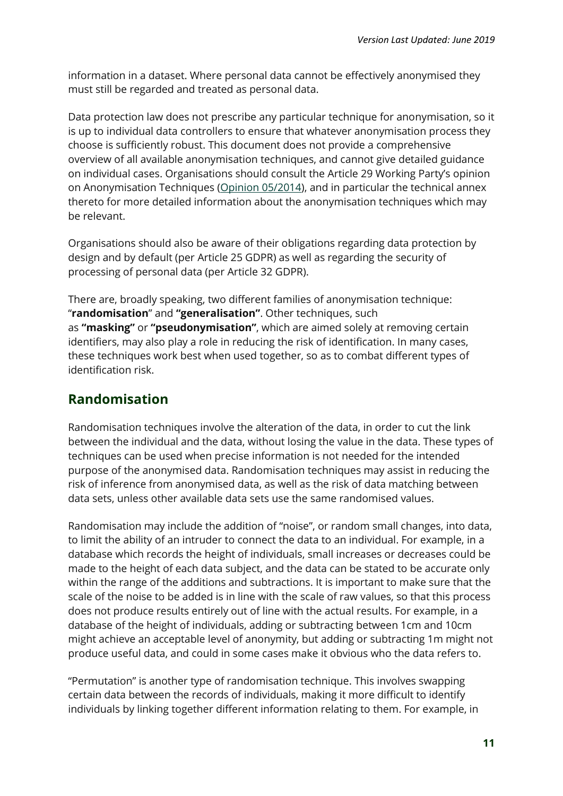information in a dataset. Where personal data cannot be effectively anonymised they must still be regarded and treated as personal data.

Data protection law does not prescribe any particular technique for anonymisation, so it is up to individual data controllers to ensure that whatever anonymisation process they choose is sufficiently robust. This document does not provide a comprehensive overview of all available anonymisation techniques, and cannot give detailed guidance on individual cases. Organisations should consult the Article 29 Working Party's opinion on Anonymisation Techniques (Opinion [05/2014\)](https://ec.europa.eu/justice/article-29/documentation/opinion-recommendation/files/2014/wp216_en.pdf), and in particular the technical annex thereto for more detailed information about the anonymisation techniques which may be relevant.

Organisations should also be aware of their obligations regarding data protection by design and by default (per Article 25 GDPR) as well as regarding the security of processing of personal data (per Article 32 GDPR).

There are, broadly speaking, two different families of anonymisation technique: "**randomisation**" and **"generalisation"**. Other techniques, such as **"masking"** or **"pseudonymisation"**, which are aimed solely at removing certain identifiers, may also play a role in reducing the risk of identification. In many cases, these techniques work best when used together, so as to combat different types of identification risk.

#### <span id="page-11-0"></span>**Randomisation**

Randomisation techniques involve the alteration of the data, in order to cut the link between the individual and the data, without losing the value in the data. These types of techniques can be used when precise information is not needed for the intended purpose of the anonymised data. Randomisation techniques may assist in reducing the risk of inference from anonymised data, as well as the risk of data matching between data sets, unless other available data sets use the same randomised values.

Randomisation may include the addition of "noise", or random small changes, into data, to limit the ability of an intruder to connect the data to an individual. For example, in a database which records the height of individuals, small increases or decreases could be made to the height of each data subject, and the data can be stated to be accurate only within the range of the additions and subtractions. It is important to make sure that the scale of the noise to be added is in line with the scale of raw values, so that this process does not produce results entirely out of line with the actual results. For example, in a database of the height of individuals, adding or subtracting between 1cm and 10cm might achieve an acceptable level of anonymity, but adding or subtracting 1m might not produce useful data, and could in some cases make it obvious who the data refers to.

"Permutation" is another type of randomisation technique. This involves swapping certain data between the records of individuals, making it more difficult to identify individuals by linking together different information relating to them. For example, in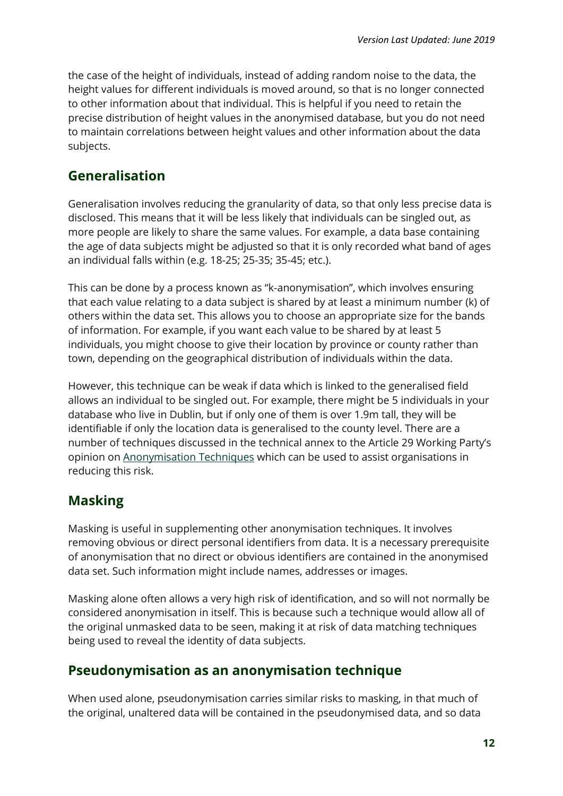the case of the height of individuals, instead of adding random noise to the data, the height values for different individuals is moved around, so that is no longer connected to other information about that individual. This is helpful if you need to retain the precise distribution of height values in the anonymised database, but you do not need to maintain correlations between height values and other information about the data subjects.

#### <span id="page-12-0"></span>**Generalisation**

Generalisation involves reducing the granularity of data, so that only less precise data is disclosed. This means that it will be less likely that individuals can be singled out, as more people are likely to share the same values. For example, a data base containing the age of data subjects might be adjusted so that it is only recorded what band of ages an individual falls within (e.g. 18-25; 25-35; 35-45; etc.).

This can be done by a process known as "k-anonymisation", which involves ensuring that each value relating to a data subject is shared by at least a minimum number (k) of others within the data set. This allows you to choose an appropriate size for the bands of information. For example, if you want each value to be shared by at least 5 individuals, you might choose to give their location by province or county rather than town, depending on the geographical distribution of individuals within the data.

However, this technique can be weak if data which is linked to the generalised field allows an individual to be singled out. For example, there might be 5 individuals in your database who live in Dublin, but if only one of them is over 1.9m tall, they will be identifiable if only the location data is generalised to the county level. There are a number of techniques discussed in the technical annex to the Article 29 Working Party's opinion on [Anonymisation Techniques](https://ec.europa.eu/justice/article-29/documentation/opinion-recommendation/files/2014/wp216_en.pdf) which can be used to assist organisations in reducing this risk.

#### <span id="page-12-1"></span>**Masking**

Masking is useful in supplementing other anonymisation techniques. It involves removing obvious or direct personal identifiers from data. It is a necessary prerequisite of anonymisation that no direct or obvious identifiers are contained in the anonymised data set. Such information might include names, addresses or images.

Masking alone often allows a very high risk of identification, and so will not normally be considered anonymisation in itself. This is because such a technique would allow all of the original unmasked data to be seen, making it at risk of data matching techniques being used to reveal the identity of data subjects.

#### <span id="page-12-2"></span>**Pseudonymisation as an anonymisation technique**

When used alone, pseudonymisation carries similar risks to masking, in that much of the original, unaltered data will be contained in the pseudonymised data, and so data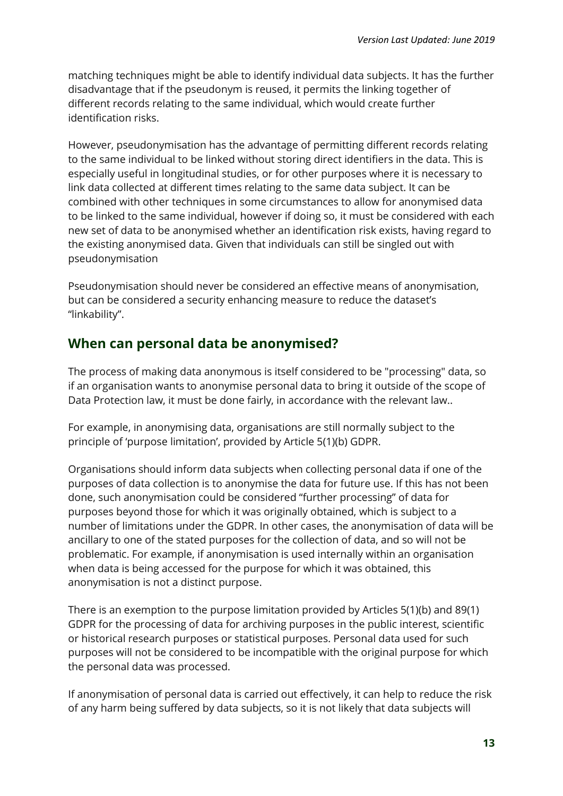matching techniques might be able to identify individual data subjects. It has the further disadvantage that if the pseudonym is reused, it permits the linking together of different records relating to the same individual, which would create further identification risks.

However, pseudonymisation has the advantage of permitting different records relating to the same individual to be linked without storing direct identifiers in the data. This is especially useful in longitudinal studies, or for other purposes where it is necessary to link data collected at different times relating to the same data subject. It can be combined with other techniques in some circumstances to allow for anonymised data to be linked to the same individual, however if doing so, it must be considered with each new set of data to be anonymised whether an identification risk exists, having regard to the existing anonymised data. Given that individuals can still be singled out with pseudonymisation

Pseudonymisation should never be considered an effective means of anonymisation, but can be considered a security enhancing measure to reduce the dataset's "linkability".

#### <span id="page-13-0"></span>**When can personal data be anonymised?**

The process of making data anonymous is itself considered to be "processing" data, so if an organisation wants to anonymise personal data to bring it outside of the scope of Data Protection law, it must be done fairly, in accordance with the relevant law..

For example, in anonymising data, organisations are still normally subject to the principle of 'purpose limitation', provided by Article 5(1)(b) GDPR.

Organisations should inform data subjects when collecting personal data if one of the purposes of data collection is to anonymise the data for future use. If this has not been done, such anonymisation could be considered "further processing" of data for purposes beyond those for which it was originally obtained, which is subject to a number of limitations under the GDPR. In other cases, the anonymisation of data will be ancillary to one of the stated purposes for the collection of data, and so will not be problematic. For example, if anonymisation is used internally within an organisation when data is being accessed for the purpose for which it was obtained, this anonymisation is not a distinct purpose.

There is an exemption to the purpose limitation provided by Articles 5(1)(b) and 89(1) GDPR for the processing of data for archiving purposes in the public interest, scientific or historical research purposes or statistical purposes. Personal data used for such purposes will not be considered to be incompatible with the original purpose for which the personal data was processed.

If anonymisation of personal data is carried out effectively, it can help to reduce the risk of any harm being suffered by data subjects, so it is not likely that data subjects will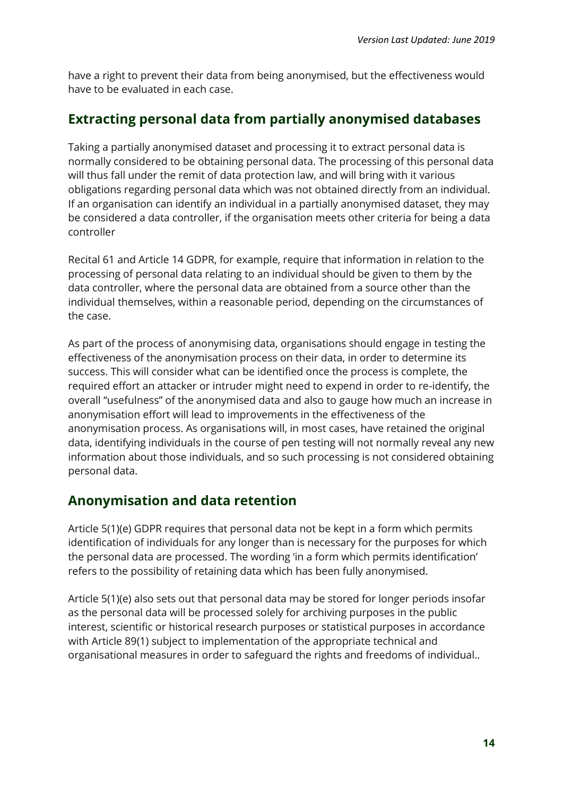have a right to prevent their data from being anonymised, but the effectiveness would have to be evaluated in each case.

#### <span id="page-14-0"></span>**Extracting personal data from partially anonymised databases**

Taking a partially anonymised dataset and processing it to extract personal data is normally considered to be obtaining personal data. The processing of this personal data will thus fall under the remit of data protection law, and will bring with it various obligations regarding personal data which was not obtained directly from an individual. If an organisation can identify an individual in a partially anonymised dataset, they may be considered a data controller, if the organisation meets other criteria for being a data controller

Recital 61 and Article 14 GDPR, for example, require that information in relation to the processing of personal data relating to an individual should be given to them by the data controller, where the personal data are obtained from a source other than the individual themselves, within a reasonable period, depending on the circumstances of the case.

As part of the process of anonymising data, organisations should engage in testing the effectiveness of the anonymisation process on their data, in order to determine its success. This will consider what can be identified once the process is complete, the required effort an attacker or intruder might need to expend in order to re-identify, the overall "usefulness" of the anonymised data and also to gauge how much an increase in anonymisation effort will lead to improvements in the effectiveness of the anonymisation process. As organisations will, in most cases, have retained the original data, identifying individuals in the course of pen testing will not normally reveal any new information about those individuals, and so such processing is not considered obtaining personal data.

#### <span id="page-14-1"></span>**Anonymisation and data retention**

Article 5(1)(e) GDPR requires that personal data not be kept in a form which permits identification of individuals for any longer than is necessary for the purposes for which the personal data are processed. The wording 'in a form which permits identification' refers to the possibility of retaining data which has been fully anonymised.

Article 5(1)(e) also sets out that personal data may be stored for longer periods insofar as the personal data will be processed solely for archiving purposes in the public interest, scientific or historical research purposes or statistical purposes in accordance with Article 89(1) subject to implementation of the appropriate technical and organisational measures in order to safeguard the rights and freedoms of individual..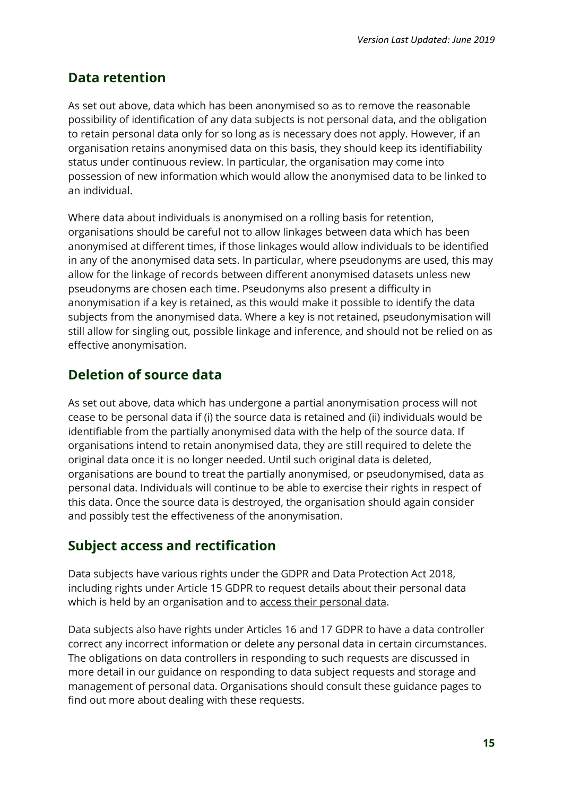#### <span id="page-15-0"></span>**Data retention**

As set out above, data which has been anonymised so as to remove the reasonable possibility of identification of any data subjects is not personal data, and the obligation to retain personal data only for so long as is necessary does not apply. However, if an organisation retains anonymised data on this basis, they should keep its identifiability status under continuous review. In particular, the organisation may come into possession of new information which would allow the anonymised data to be linked to an individual.

Where data about individuals is anonymised on a rolling basis for retention, organisations should be careful not to allow linkages between data which has been anonymised at different times, if those linkages would allow individuals to be identified in any of the anonymised data sets. In particular, where pseudonyms are used, this may allow for the linkage of records between different anonymised datasets unless new pseudonyms are chosen each time. Pseudonyms also present a difficulty in anonymisation if a key is retained, as this would make it possible to identify the data subjects from the anonymised data. Where a key is not retained, pseudonymisation will still allow for singling out, possible linkage and inference, and should not be relied on as effective anonymisation.

#### <span id="page-15-1"></span>**Deletion of source data**

As set out above, data which has undergone a partial anonymisation process will not cease to be personal data if (i) the source data is retained and (ii) individuals would be identifiable from the partially anonymised data with the help of the source data. If organisations intend to retain anonymised data, they are still required to delete the original data once it is no longer needed. Until such original data is deleted, organisations are bound to treat the partially anonymised, or pseudonymised, data as personal data. Individuals will continue to be able to exercise their rights in respect of this data. Once the source data is destroyed, the organisation should again consider and possibly test the effectiveness of the anonymisation.

#### <span id="page-15-2"></span>**Subject access and rectification**

Data subjects have various rights under the GDPR and Data Protection Act 2018, including rights under Article 15 GDPR to request details about their personal data which is held by an organisation and to access their personal data.

Data subjects also have rights under Articles 16 and 17 GDPR to have a data controller correct any incorrect information or delete any personal data in certain circumstances. The obligations on data controllers in responding to such requests are discussed in more detail in our guidance on responding to data subject requests and storage and management of personal data. Organisations should consult these guidance pages to find out more about dealing with these requests.